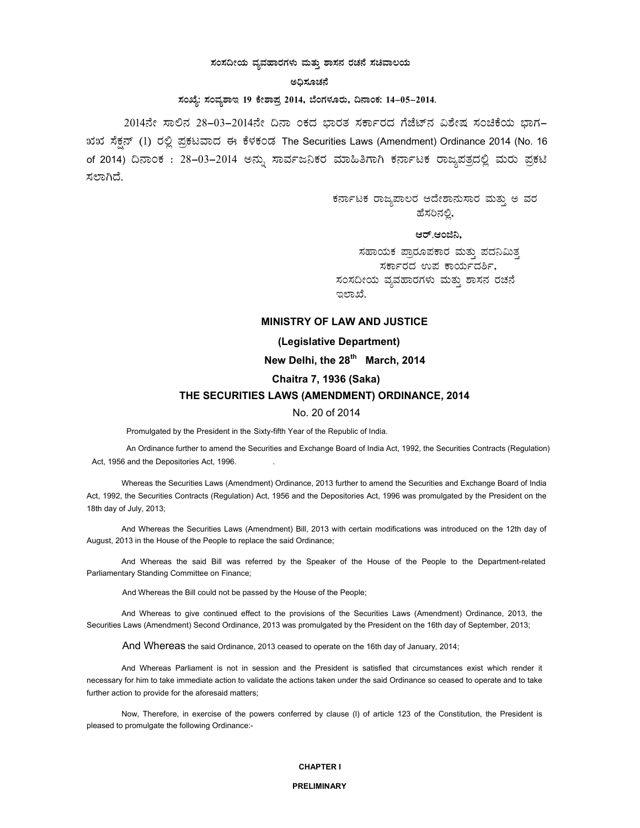## ಸಂಸದೀಯ ವ್ಯವಹಾರಗಳು ಮತ್ತು ಶಾಸನ ರಚನೆ ಸಚಿವಾಲಯ

### **C¢ü¸ÀÆZÀ£É**

# ಸಂಖ್ಯೆ: ಸಂವ್ಮಶಾಇ 19 ಕೇಶಾಪ್ರ 2014, ಬೆಂಗಳೂರು, ದಿನಾಂಕ: 14-05-2014.

2014ನೇ ಸಾಲಿನ 28–03–2014ನೇ ದಿನಾ ಂಕದ ಭಾರತ ಸರ್ಕಾರದ ಗೆಜೆಟ್ನ ವಿಶೇಷ ಸಂಚಿಕೆಯ ಭಾಗ–  $133$ ಸ್ಸೆನ್ (1) ರಲ್ಲಿ ಪ್ರಕಟವಾದ ಈ ಕೆಳಕಂಡ The Securities Laws (Amendment) Ordinance 2014 (No. 16 of 2014) ದಿನಾಂಕ : 28-03-2014 ಅನ್ನು ಸಾರ್ವಜನಿಕರ ಮಾಹಿತಿಗಾಗಿ ಕರ್ನಾಟಕ ರಾಜ್ಯಪತ್ರದಲ್ಲಿ ಮರು ಪ್ರಕಟಿ ಸಲಾಗಿದೆ.

> ಕರ್ನಾಟಕ ರಾಜ್ಯಪಾಲರ ಆದೇಶಾನುಸಾರ ಮತ್ತು ಅ ವರ ಹೆಸರಿನಲ್ಲಿ,

## ಆರ್.ಆಂಜಿನಿ<u>.</u>

ಸಹಾಯಕ ಪ್ರಾರೂಪಕಾರ ಮತ್ತು ಪದನಿಮಿತ್ತ ಸರ್ಕಾರದ ಉಪ ಕಾರ್ಯದರ್ಶಿ, ಸಂಸದೀಯ ವ್ಯವಹಾರಗಳು ಮತ್ತು ಶಾಸನ ರಚನೆ ಇಲಾಖೆ.

# **MINISTRY OF LAW AND JUSTICE**

## **(Legislative Department)**

New Delhi, the 28<sup>th</sup> March, 2014

# **Chaitra 7, 1936 (Saka)**

# **THE SECURITIES LAWS (AMENDMENT) ORDINANCE, 2014**

## No. 20 of 2014

Promulgated by the President in the Sixty-fifth Year of the Republic of India.

An Ordinance further to amend the Securities and Exchange Board of India Act, 1992, the Securities Contracts (Regulation) Act, 1956 and the Depositories Act, 1996.

Whereas the Securities Laws (Amendment) Ordinance, 2013 further to amend the Securities and Exchange Board of India Act, 1992, the Securities Contracts (Regulation) Act, 1956 and the Depositories Act, 1996 was promulgated by the President on the 18th day of July, 2013;

And Whereas the Securities Laws (Amendment) Bill, 2013 with certain modifications was introduced on the 12th day of August, 2013 in the House of the People to replace the said Ordinance;

And Whereas the said Bill was referred by the Speaker of the House of the People to the Department-related Parliamentary Standing Committee on Finance;

And Whereas the Bill could not be passed by the House of the People;

And Whereas to give continued effect to the provisions of the Securities Laws (Amendment) Ordinance, 2013, the Securities Laws (Amendment) Second Ordinance, 2013 was promulgated by the President on the 16th day of September, 2013;

And Whereas the said Ordinance, 2013 ceased to operate on the 16th day of January, 2014;

And Whereas Parliament is not in session and the President is satisfied that circumstances exist which render it necessary for him to take immediate action to validate the actions taken under the said Ordinance so ceased to operate and to take further action to provide for the aforesaid matters;

Now, Therefore, in exercise of the powers conferred by clause (l) of article 123 of the Constitution, the President is pleased to promulgate the following Ordinance:-

#### **CHAPTER I**

#### **PRELIMINARY**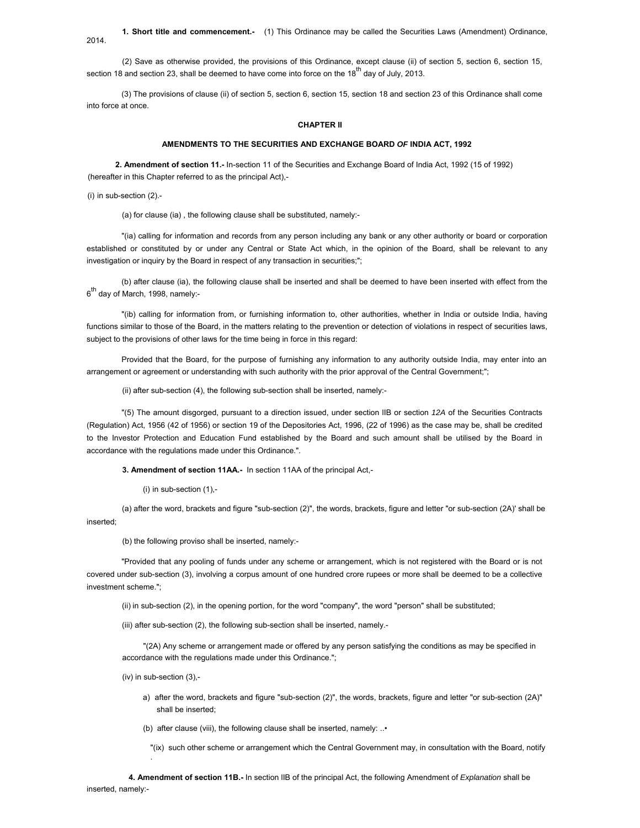**1. Short title and commencement.-** (1) This Ordinance may be called the Securities Laws (Amendment) Ordinance,

(2) Save as otherwise provided, the provisions of this Ordinance, except clause (ii) of section 5, section 6, section 15, section 18 and section 23, shall be deemed to have come into force on the 18<sup>th</sup> day of July, 2013.

(3) The provisions of clause (ii) of section 5, section 6, section 15, section 18 and section 23 of this Ordinance shall come into force at once.

#### **CHAPTER II**

### **AMENDMENTS TO THE SECURITIES AND EXCHANGE BOARD** *OF* **INDIA ACT, 1992**

**2. Amendment of section 11.-** In-section 11 of the Securities and Exchange Board of India Act, 1992 (15 of 1992) (hereafter in this Chapter referred to as the principal Act),-

(i) in sub-section (2).-

2014.

(a) for clause (ia) , the following clause shall be substituted, namely:-

"(ia) calling for information and records from any person including any bank or any other authority or board or corporation established or constituted by or under any Central or State Act which, in the opinion of the Board, shall be relevant to any investigation or inquiry by the Board in respect of any transaction in securities;";

(b) after clause (ia), the following clause shall be inserted and shall be deemed to have been inserted with effect from the 6<sup>th</sup> day of March, 1998, namely:-

"(ib) calling for information from, or furnishing information to, other authorities, whether in India or outside India, having functions similar to those of the Board, in the matters relating to the prevention or detection of violations in respect of securities laws, subject to the provisions of other laws for the time being in force in this regard:

Provided that the Board, for the purpose of furnishing any information to any authority outside India, may enter into an arrangement or agreement or understanding with such authority with the prior approval of the Central Government;";

(ii) after sub-section (4), the following sub-section shall be inserted, namely:-

"(5) The amount disgorged, pursuant to a direction issued, under section lIB or section *12A* of the Securities Contracts (Regulation) Act, 1956 (42 of 1956) or section 19 of the Depositories Act, 1996, (22 of 1996) as the case may be, shall be credited to the Investor Protection and Education Fund established by the Board and such amount shall be utilised by the Board in accordance with the regulations made under this Ordinance.".

**3. Amendment of section 11AA.-** In section 11AA of the principal Act,-

(i) in sub-section (1),-

(a) after the word, brackets and figure "sub-section (2)", the words, brackets, figure and letter "or sub-section (2A)' shall be inserted;

(b) the following proviso shall be inserted, namely:-

"Provided that any pooling of funds under any scheme or arrangement, which is not registered with the Board or is not covered under sub-section (3), involving a corpus amount of one hundred crore rupees or more shall be deemed to be a collective investment scheme.";

(ii) in sub-section (2), in the opening portion, for the word "company", the word "person" shall be substituted;

(iii) after sub-section (2), the following sub-section shall be inserted, namely.-

"(2A) Any scheme or arrangement made or offered by any person satisfying the conditions as may be specified in accordance with the regulations made under this Ordinance.";

(iv) in sub-section (3),-

.

- a) after the word, brackets and figure "sub-section (2)", the words, brackets, figure and letter "or sub-section (2A)" shall be inserted;
- (b) after clause (viii), the following clause shall be inserted, namely: ..•

"(ix) such other scheme or arrangement which the Central Government may, in consultation with the Board, notify

**4. Amendment of section 11B.-** In section lIB of the principal Act, the following Amendment of *Explanation* shall be inserted, namely:-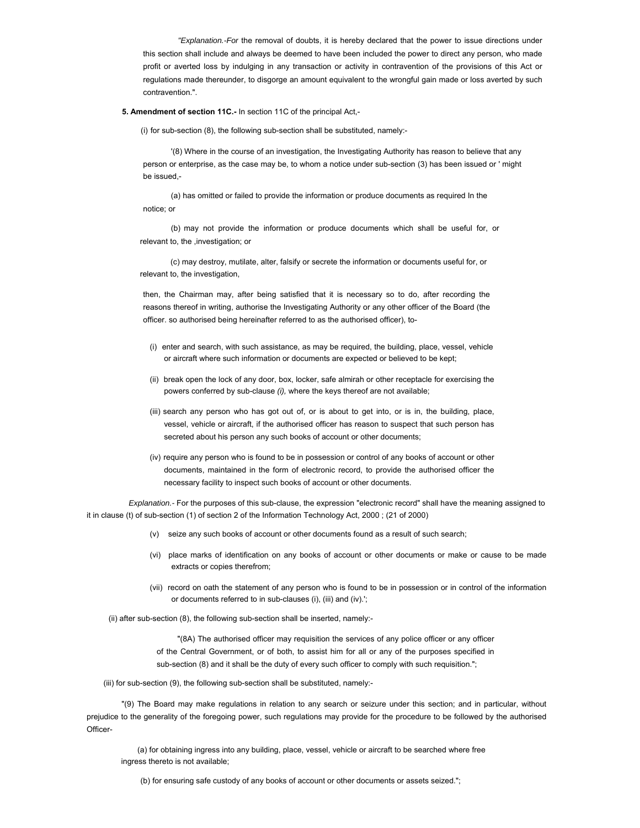*"Explanation.-For* the removal of doubts, it is hereby declared that the power to issue directions under this section shall include and always be deemed to have been included the power to direct any person, who made profit or averted loss by indulging in any transaction or activity in contravention of the provisions of this Act or regulations made thereunder, to disgorge an amount equivalent to the wrongful gain made or loss averted by such contravention.".

#### **5. Amendment of section 11C.-** In section 11C of the principal Act,-

(i) for sub-section (8), the following sub-section shall be substituted, namely:-

'(8) Where in the course of an investigation, the Investigating Authority has reason to believe that any person or enterprise, as the case may be, to whom a notice under sub-section (3) has been issued or ' might be issued,-

(a) has omitted or failed to provide the information or produce documents as required In the notice; or

(b) may not provide the information or produce documents which shall be useful for, or relevant to, the ,investigation; or

(c) may destroy, mutilate, alter, falsify or secrete the information or documents useful for, or relevant to, the investigation,

then, the Chairman may, after being satisfied that it is necessary so to do, after recording the reasons thereof in writing, authorise the Investigating Authority or any other officer of the Board (the officer. so authorised being hereinafter referred to as the authorised officer), to-

- (i) enter and search, with such assistance, as may be required, the building, place, vessel, vehicle or aircraft where such information or documents are expected or believed to be kept;
- (ii) break open the lock of any door, box, locker, safe almirah or other receptacle for exercising the powers conferred by sub-clause *(i),* where the keys thereof are not available;
- (iii) search any person who has got out of, or is about to get into, or is in, the building, place, vessel, vehicle or aircraft, if the authorised officer has reason to suspect that such person has secreted about his person any such books of account or other documents;
- (iv) require any person who is found to be in possession or control of any books of account or other documents, maintained in the form of electronic record, to provide the authorised officer the necessary facility to inspect such books of account or other documents.

*Explanation.-* For the purposes of this sub-clause, the expression "electronic record" shall have the meaning assigned to it in clause (t) of sub-section (1) of section 2 of the Information Technology Act, 2000 ; (21 of 2000)

- (v) seize any such books of account or other documents found as a result of such search;
- (vi) place marks of identification on any books of account or other documents or make or cause to be made extracts or copies therefrom;
- (vii) record on oath the statement of any person who is found to be in possession or in control of the information or documents referred to in sub-clauses (i), (iii) and (iv).';
- (ii) after sub-section (8), the following sub-section shall be inserted, namely:-

"(8A) The authorised officer may requisition the services of any police officer or any officer of the Central Government, or of both, to assist him for all or any of the purposes specified in sub-section (8) and it shall be the duty of every such officer to comply with such requisition.";

(iii) for sub-section (9), the following sub-section shall be substituted, namely:-

"(9) The Board may make regulations in relation to any search or seizure under this section; and in particular, without prejudice to the generality of the foregoing power, such regulations may provide for the procedure to be followed by the authorised Officer-

(a) for obtaining ingress into any building, place, vessel, vehicle or aircraft to be searched where free ingress thereto is not available;

(b) for ensuring safe custody of any books of account or other documents or assets seized.";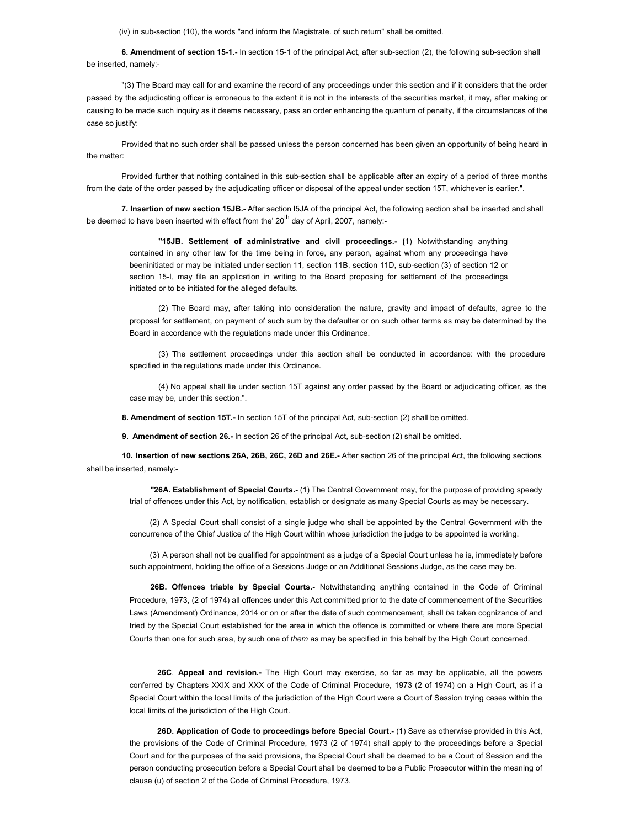(iv) in sub-section (10), the words "and inform the Magistrate. of such return" shall be omitted.

**6. Amendment of section 15-1.-** In section 15-1 of the principal Act, after sub-section (2), the following sub-section shall be inserted, namely:-

"(3) The Board may call for and examine the record of any proceedings under this section and if it considers that the order passed by the adjudicating officer is erroneous to the extent it is not in the interests of the securities market, it may, after making or causing to be made such inquiry as it deems necessary, pass an order enhancing the quantum of penalty, if the circumstances of the case so justify:

Provided that no such order shall be passed unless the person concerned has been given an opportunity of being heard in the matter:

Provided further that nothing contained in this sub-section shall be applicable after an expiry of a period of three months from the date of the order passed by the adjudicating officer or disposal of the appeal under section 15T, whichever is earlier.".

**7. Insertion of new section 15JB.-** After section l5JA of the principal Act, the following section shall be inserted and shall be deemed to have been inserted with effect from the'  $20<sup>th</sup>$  day of April, 2007, namely:-

**"15JB. Settlement of administrative and civil proceedings.- (**1) Notwithstanding anything contained in any other law for the time being in force, any person, against whom any proceedings have beeninitiated or may be initiated under section 11, section 11B, section 11D, sub-section (3) of section 12 or section 15-I, may file an application in writing to the Board proposing for settlement of the proceedings initiated or to be initiated for the alleged defaults.

(2) The Board may, after taking into consideration the nature, gravity and impact of defaults, agree to the proposal for settlement, on payment of such sum by the defaulter or on such other terms as may be determined by the Board in accordance with the regulations made under this Ordinance.

(3) The settlement proceedings under this section shall be conducted in accordance: with the procedure specified in the regulations made under this Ordinance.

(4) No appeal shall lie under section 15T against any order passed by the Board or adjudicating officer, as the case may be, under this section.".

**8. Amendment of section 15T.-** In section 15T of the principal Act, sub-section (2) shall be omitted.

**9. Amendment of section 26.-** In section 26 of the principal Act, sub-section (2) shall be omitted.

**10. Insertion of new sections 26A, 26B, 26C, 26D and 26E.-** After section 26 of the principal Act, the following sections shall be inserted, namely:-

**"26A. Establishment of Special Courts.-** (1) The Central Government may, for the purpose of providing speedy trial of offences under this Act, by notification, establish or designate as many Special Courts as may be necessary.

(2) A Special Court shall consist of a single judge who shall be appointed by the Central Government with the concurrence of the Chief Justice of the High Court within whose jurisdiction the judge to be appointed is working.

(3) A person shall not be qualified for appointment as a judge of a Special Court unless he is, immediately before such appointment, holding the office of a Sessions Judge or an Additional Sessions Judge, as the case may be.

**26B. Offences triable by Special Courts.-** Notwithstanding anything contained in the Code of Criminal Procedure, 1973, (2 of 1974) all offences under this Act committed prior to the date of commencement of the Securities Laws (Amendment) Ordinance, 2014 or on or after the date of such commencement, shall *be* taken cognizance of and tried by the Special Court established for the area in which the offence is committed or where there are more Special Courts than one for such area, by such one of *them* as may be specified in this behalf by the High Court concerned.

**26C**. **Appeal and revision.-** The High Court may exercise, so far as may be applicable, all the powers conferred by Chapters XXIX and XXX of the Code of Criminal Procedure, 1973 (2 of 1974) on a High Court, as if a Special Court within the local limits of the jurisdiction of the High Court were a Court of Session trying cases within the local limits of the jurisdiction of the High Court.

**26D. Application of Code to proceedings before Special Court.-** (1) Save as otherwise provided in this Act, the provisions of the Code of Criminal Procedure, 1973 (2 of 1974) shall apply to the proceedings before a Special Court and for the purposes of the said provisions, the Special Court shall be deemed to be a Court of Session and the person conducting prosecution before a Special Court shall be deemed to be a Public Prosecutor within the meaning of clause (u) of section 2 of the Code of Criminal Procedure, 1973.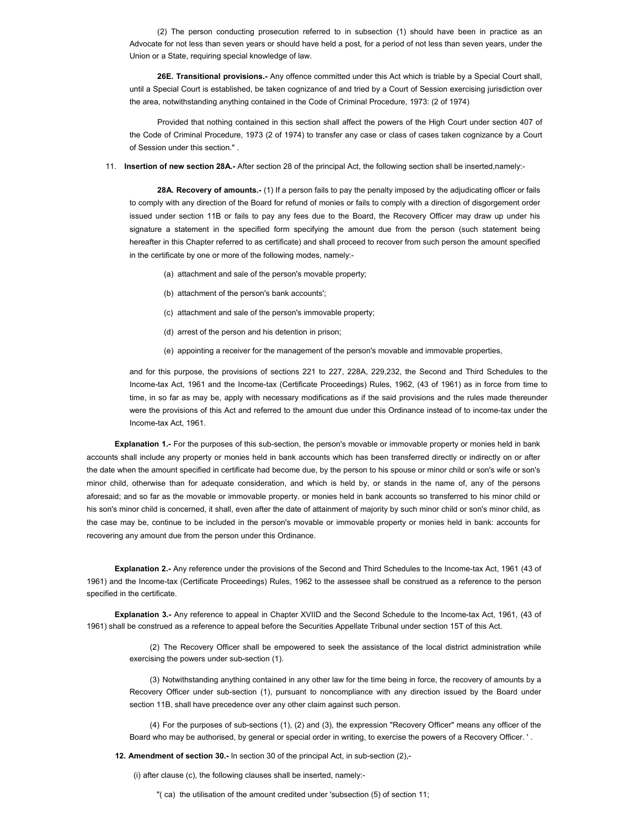(2) The person conducting prosecution referred to in subsection (1) should have been in practice as an Advocate for not less than seven years or should have held a post, for a period of not less than seven years, under the Union or a State, requiring special knowledge of law.

**26E. Transitional provisions.-** Any offence committed under this Act which is triable by a Special Court shall, until a Special Court is established, be taken cognizance of and tried by a Court of Session exercising jurisdiction over the area, notwithstanding anything contained in the Code of Criminal Procedure, 1973: (2 of 1974)

Provided that nothing contained in this section shall affect the powers of the High Court under section 407 of the Code of Criminal Procedure, 1973 (2 of 1974) to transfer any case or class of cases taken cognizance by a Court of Session under this section." .

11. **Insertion of new section 28A.-** After section 28 of the principal Act, the following section shall be inserted,namely:-

**28A. Recovery of amounts.-** (1) If a person fails to pay the penalty imposed by the adjudicating officer or fails to comply with any direction of the Board for refund of monies or fails to comply with a direction of disgorgement order issued under section 11B or fails to pay any fees due to the Board, the Recovery Officer may draw up under his signature a statement in the specified form specifying the amount due from the person (such statement being hereafter in this Chapter referred to as certificate) and shall proceed to recover from such person the amount specified in the certificate by one or more of the following modes, namely:-

- (a) attachment and sale of the person's movable property;
- (b) attachment of the person's bank accounts';
- (c) attachment and sale of the person's immovable property;
- (d) arrest of the person and his detention in prison;
- (e) appointing a receiver for the management of the person's movable and immovable properties,

and for this purpose, the provisions of sections 221 to 227, 228A, 229,232, the Second and Third Schedules to the Income-tax Act, 1961 and the Income-tax (Certificate Proceedings) Rules, 1962, (43 of 1961) as in force from time to time, in so far as may be, apply with necessary modifications as if the said provisions and the rules made thereunder were the provisions of this Act and referred to the amount due under this Ordinance instead of to income-tax under the Income-tax Act, 1961.

**Explanation 1.-** For the purposes of this sub-section, the person's movable or immovable property or monies held in bank accounts shall include any property or monies held in bank accounts which has been transferred directly or indirectly on or after the date when the amount specified in certificate had become due, by the person to his spouse or minor child or son's wife or son's minor child, otherwise than for adequate consideration, and which is held by, or stands in the name of, any of the persons aforesaid; and so far as the movable or immovable property. or monies held in bank accounts so transferred to his minor child or his son's minor child is concerned, it shall, even after the date of attainment of majority by such minor child or son's minor child, as the case may be, continue to be included in the person's movable or immovable property or monies held in bank: accounts for recovering any amount due from the person under this Ordinance.

**Explanation 2.-** Any reference under the provisions of the Second and Third Schedules to the Income-tax Act, 1961 (43 of 1961) and the Income-tax (Certificate Proceedings) Rules, 1962 to the assessee shall be construed as a reference to the person specified in the certificate.

**Explanation 3.-** Any reference to appeal in Chapter XVIID and the Second Schedule to the Income-tax Act, 1961, (43 of 1961) shall be construed as a reference to appeal before the Securities Appellate Tribunal under section 15T of this Act.

(2) The Recovery Officer shall be empowered to seek the assistance of the local district administration while exercising the powers under sub-section (1).

(3) Notwithstanding anything contained in any other law for the time being in force, the recovery of amounts by a Recovery Officer under sub-section (1), pursuant to noncompliance with any direction issued by the Board under section 11B, shall have precedence over any other claim against such person.

(4) For the purposes of sub-sections (1), (2) and (3), the expression "Recovery Officer" means any officer of the Board who may be authorised, by general or special order in writing, to exercise the powers of a Recovery Officer. ' .

**12. Amendment of section 30.-** In section 30 of the principal Act, in sub-section (2),-

(i) after clause (c), the following clauses shall be inserted, namely:-

"( ca) the utilisation of the amount credited under 'subsection (5) of section 11;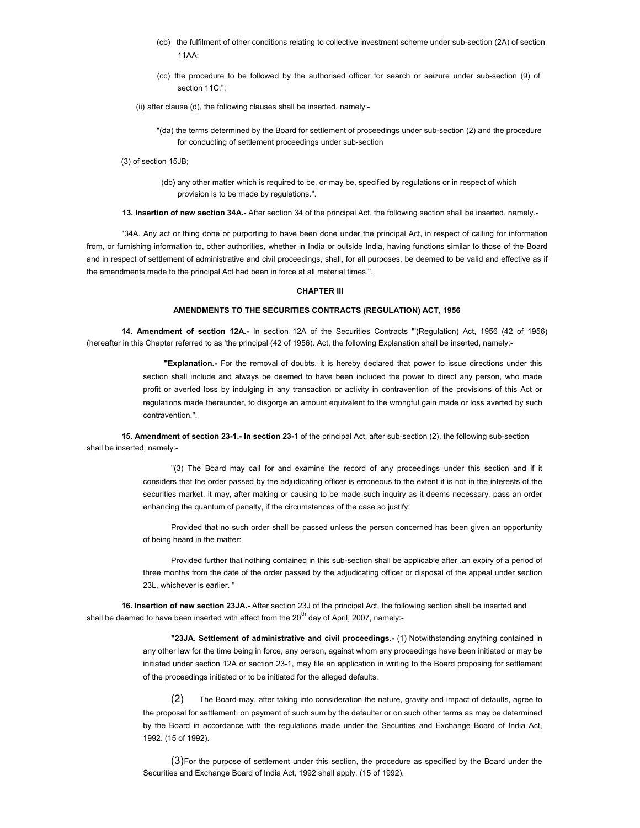- (cb) the fulfilment of other conditions relating to collective investment scheme under sub-section (2A) of section  $11AA$
- (cc) the procedure to be followed by the authorised officer for search or seizure under sub-section (9) of section 11C;";
- (ii) after clause (d), the following clauses shall be inserted, namely:-

"(da) the terms determined by the Board for settlement of proceedings under sub-section (2) and the procedure for conducting of settlement proceedings under sub-section

- (3) of section 15JB;
	- (db) any other matter which is required to be, or may be, specified by regulations or in respect of which provision is to be made by regulations.".

**13. Insertion of new section 34A.-** After section 34 of the principal Act, the following section shall be inserted, namely.-

"34A. Any act or thing done or purporting to have been done under the principal Act, in respect of calling for information from, or furnishing information to, other authorities, whether in India or outside India, having functions similar to those of the Board and in respect of settlement of administrative and civil proceedings, shall, for all purposes, be deemed to be valid and effective as if the amendments made to the principal Act had been in force at all material times.".

### **CHAPTER III**

## **AMENDMENTS TO THE SECURITIES CONTRACTS (REGULATION) ACT, 1956**

**14. Amendment of section 12A.-** In section 12A of the Securities Contracts "'(Regulation) Act, 1956 (42 of 1956) (hereafter in this Chapter referred to as 'the principal (42 of 1956). Act, the following Explanation shall be inserted, namely:-

> **"Explanation.-** For the removal of doubts, it is hereby declared that power to issue directions under this section shall include and always be deemed to have been included the power to direct any person, who made profit or averted loss by indulging in any transaction or activity in contravention of the provisions of this Act or regulations made thereunder, to disgorge an amount equivalent to the wrongful gain made or loss averted by such contravention.".

**15. Amendment of section 23-1.- In section 23-**1 of the principal Act, after sub-section (2), the following sub-section shall be inserted, namely:-

> "(3) The Board may call for and examine the record of any proceedings under this section and if it considers that the order passed by the adjudicating officer is erroneous to the extent it is not in the interests of the securities market, it may, after making or causing to be made such inquiry as it deems necessary, pass an order enhancing the quantum of penalty, if the circumstances of the case so justify:

> Provided that no such order shall be passed unless the person concerned has been given an opportunity of being heard in the matter:

> Provided further that nothing contained in this sub-section shall be applicable after .an expiry of a period of three months from the date of the order passed by the adjudicating officer or disposal of the appeal under section 23L, whichever is earlier. "

**16. Insertion of new section 23JA.-** After section 23J of the principal Act, the following section shall be inserted and shall be deemed to have been inserted with effect from the  $20<sup>th</sup>$  day of April, 2007, namely:-

> **"23JA. Settlement of administrative and civil proceedings.-** (1) Notwithstanding anything contained in any other law for the time being in force, any person, against whom any proceedings have been initiated or may be initiated under section 12A or section 23-1, may file an application in writing to the Board proposing for settlement of the proceedings initiated or to be initiated for the alleged defaults.

> (2) The Board may, after taking into consideration the nature, gravity and impact of defaults, agree to the proposal for settlement, on payment of such sum by the defaulter or on such other terms as may be determined by the Board in accordance with the regulations made under the Securities and Exchange Board of India Act, 1992. (15 of 1992).

> (3) For the purpose of settlement under this section, the procedure as specified by the Board under the Securities and Exchange Board of India Act, 1992 shall apply. (15 of 1992).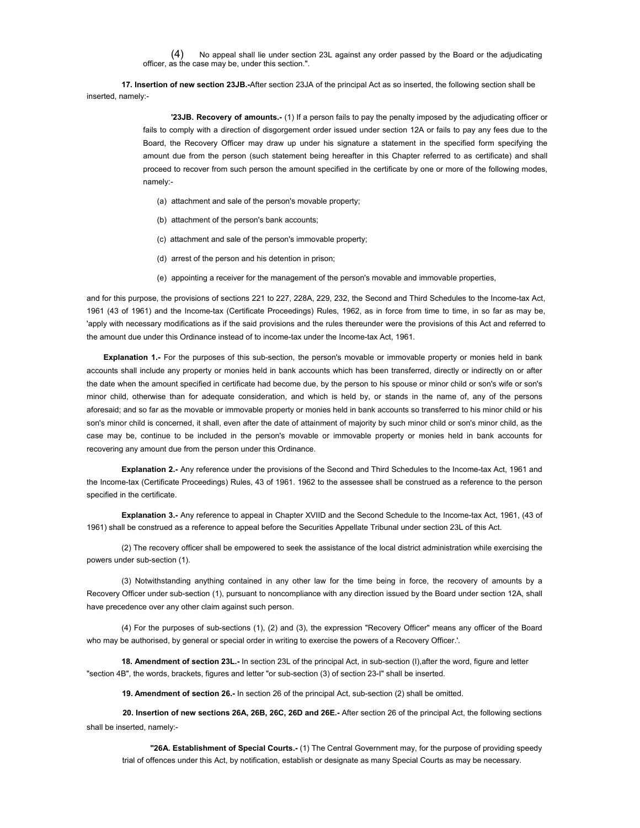(4) No appeal shall lie under section 23L against any order passed by the Board or the adjudicating officer, as the case may be, under this section.".

**17. Insertion of new section 23JB.-**After section 23JA of the principal Act as so inserted, the following section shall be inserted, namely:-

> **'23JB. Recovery of amounts.-** (1) If a person fails to pay the penalty imposed by the adjudicating officer or fails to comply with a direction of disgorgement order issued under section 12A or fails to pay any fees due to the Board, the Recovery Officer may draw up under his signature a statement in the specified form specifying the amount due from the person (such statement being hereafter in this Chapter referred to as certificate) and shall proceed to recover from such person the amount specified in the certificate by one or more of the following modes, namely:-

- (a) attachment and sale of the person's movable property;
- (b) attachment of the person's bank accounts;
- (c) attachment and sale of the person's immovable property;
- (d) arrest of the person and his detention in prison;
- (e) appointing a receiver for the management of the person's movable and immovable properties,

and for this purpose, the provisions of sections 221 to 227, 228A, 229, 232, the Second and Third Schedules to the Income-tax Act, 1961 (43 of 1961) and the Income-tax (Certificate Proceedings) Rules, 1962, as in force from time to time, in so far as may be, 'apply with necessary modifications as if the said provisions and the rules thereunder were the provisions of this Act and referred to the amount due under this Ordinance instead of to income-tax under the Income-tax Act, 1961.

**Explanation 1.-** For the purposes of this sub-section, the person's movable or immovable property or monies held in bank accounts shall include any property or monies held in bank accounts which has been transferred, directly or indirectly on or after the date when the amount specified in certificate had become due, by the person to his spouse or minor child or son's wife or son's minor child, otherwise than for adequate consideration, and which is held by, or stands in the name of, any of the persons aforesaid; and so far as the movable or immovable property or monies held in bank accounts so transferred to his minor child or his son's minor child is concerned, it shall, even after the date of attainment of majority by such minor child or son's minor child, as the case may be, continue to be included in the person's movable or immovable property or monies held in bank accounts for recovering any amount due from the person under this Ordinance.

**Explanation 2.-** Any reference under the provisions of the Second and Third Schedules to the Income-tax Act, 1961 and the Income-tax (Certificate Proceedings) Rules, 43 of 1961. 1962 to the assessee shall be construed as a reference to the person specified in the certificate.

**Explanation 3.-** Any reference to appeal in Chapter XVIID and the Second Schedule to the Income-tax Act, 1961, (43 of 1961) shall be construed as a reference to appeal before the Securities Appellate Tribunal under section 23L of this Act.

(2) The recovery officer shall be empowered to seek the assistance of the local district administration while exercising the powers under sub-section (1).

(3) Notwithstanding anything contained in any other law for the time being in force, the recovery of amounts by a Recovery Officer under sub-section (1), pursuant to noncompliance with any direction issued by the Board under section 12A, shall have precedence over any other claim against such person.

(4) For the purposes of sub-sections (1), (2) and (3), the expression "Recovery Officer" means any officer of the Board who may be authorised, by general or special order in writing to exercise the powers of a Recovery Officer.'.

**18. Amendment of section 23L.-** In section 23L of the principal Act, in sub-section (I),after the word, figure and letter "section 4B", the words, brackets, figures and letter "or sub-section (3) of section 23-I" shall be inserted.

**19. Amendment of section 26.-** In section 26 of the principal Act, sub-section (2) shall be omitted.

**20. Insertion of new sections 26A, 26B, 26C, 26D and 26E.-** After section 26 of the principal Act, the following sections shall be inserted, namely:-

**"26A. Establishment of Special Courts.-** (1) The Central Government may, for the purpose of providing speedy trial of offences under this Act, by notification, establish or designate as many Special Courts as may be necessary.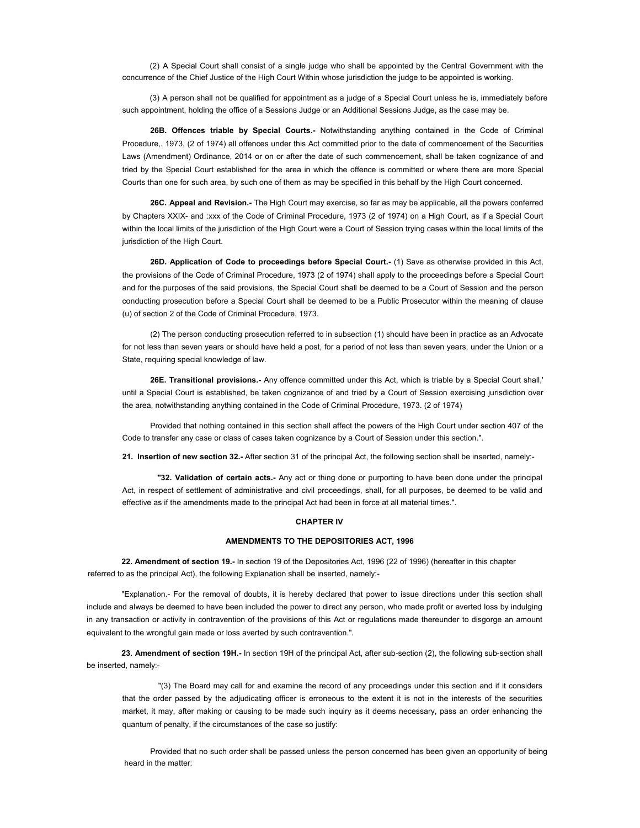(2) A Special Court shall consist of a single judge who shall be appointed by the Central Government with the concurrence of the Chief Justice of the High Court Within whose jurisdiction the judge to be appointed is working.

(3) A person shall not be qualified for appointment as a judge of a Special Court unless he is, immediately before such appointment, holding the office of a Sessions Judge or an Additional Sessions Judge, as the case may be.

**26B. Offences triable by Special Courts.-** Notwithstanding anything contained in the Code of Criminal Procedure,. 1973, (2 of 1974) all offences under this Act committed prior to the date of commencement of the Securities Laws (Amendment) Ordinance, 2014 or on or after the date of such commencement, shall be taken cognizance of and tried by the Special Court established for the area in which the offence is committed or where there are more Special Courts than one for such area, by such one of them as may be specified in this behalf by the High Court concerned.

**26C. Appeal and Revision.-** The High Court may exercise, so far as may be applicable, all the powers conferred by Chapters XXIX- and :xxx of the Code of Criminal Procedure, 1973 (2 of 1974) on a High Court, as if a Special Court within the local limits of the jurisdiction of the High Court were a Court of Session trying cases within the local limits of the jurisdiction of the High Court.

**26D. Application of Code to proceedings before Special Court.-** (1) Save as otherwise provided in this Act, the provisions of the Code of Criminal Procedure, 1973 (2 of 1974) shall apply to the proceedings before a Special Court and for the purposes of the said provisions, the Special Court shall be deemed to be a Court of Session and the person conducting prosecution before a Special Court shall be deemed to be a Public Prosecutor within the meaning of clause (u) of section 2 of the Code of Criminal Procedure, 1973.

(2) The person conducting prosecution referred to in subsection (1) should have been in practice as an Advocate for not less than seven years or should have held a post, for a period of not less than seven years, under the Union or a State, requiring special knowledge of law.

**26E. Transitional provisions.-** Any offence committed under this Act, which is triable by a Special Court shall,' until a Special Court is established, be taken cognizance of and tried by a Court of Session exercising jurisdiction over the area, notwithstanding anything contained in the Code of Criminal Procedure, 1973. (2 of 1974)

Provided that nothing contained in this section shall affect the powers of the High Court under section 407 of the Code to transfer any case or class of cases taken cognizance by a Court of Session under this section.".

**21. Insertion of new section 32.-** After section 31 of the principal Act, the following section shall be inserted, namely:-

**"32. Validation of certain acts.-** Any act or thing done or purporting to have been done under the principal Act, in respect of settlement of administrative and civil proceedings, shall, for all purposes, be deemed to be valid and effective as if the amendments made to the principal Act had been in force at all material times.".

### **CHAPTER IV**

### **AMENDMENTS TO THE DEPOSITORIES ACT, 1996**

**22. Amendment of section 19.-** In section 19 of the Depositories Act, 1996 (22 of 1996) (hereafter in this chapter referred to as the principal Act), the following Explanation shall be inserted, namely:-

"Explanation.- For the removal of doubts, it is hereby declared that power to issue directions under this section shall include and always be deemed to have been included the power to direct any person, who made profit or averted loss by indulging in any transaction or activity in contravention of the provisions of this Act or regulations made thereunder to disgorge an amount equivalent to the wrongful gain made or loss averted by such contravention.".

**23. Amendment of section 19H.-** In section 19H of the principal Act, after sub-section (2), the following sub-section shall be inserted, namely:-

"(3) The Board may call for and examine the record of any proceedings under this section and if it considers that the order passed by the adjudicating officer is erroneous to the extent it is not in the interests of the securities market, it may, after making or causing to be made such inquiry as it deems necessary, pass an order enhancing the quantum of penalty, if the circumstances of the case so justify:

Provided that no such order shall be passed unless the person concerned has been given an opportunity of being heard in the matter: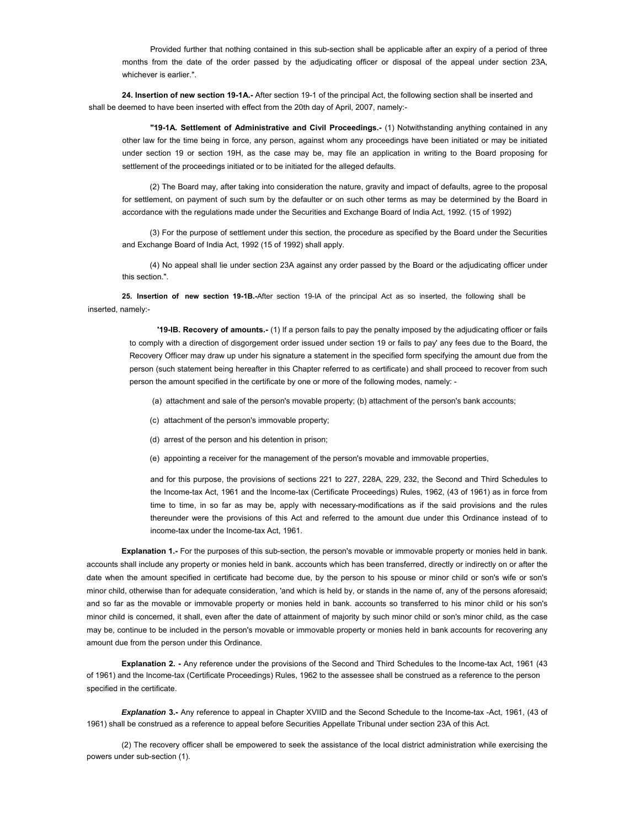Provided further that nothing contained in this sub-section shall be applicable after an expiry of a period of three months from the date of the order passed by the adjudicating officer or disposal of the appeal under section 23A, whichever is earlier.".

**24. Insertion of new section 19-1A.-** After section 19-1 of the principal Act, the following section shall be inserted and shall be deemed to have been inserted with effect from the 20th day of April, 2007, namely:-

**"19-1A. Settlement of Administrative and Civil Proceedings.-** (1) Notwithstanding anything contained in any other law for the time being in force, any person, against whom any proceedings have been initiated or may be initiated under section 19 or section 19H, as the case may be, may file an application in writing to the Board proposing for settlement of the proceedings initiated or to be initiated for the alleged defaults.

(2) The Board may, after taking into consideration the nature, gravity and impact of defaults, agree to the proposal for settlement, on payment of such sum by the defaulter or on such other terms as may be determined by the Board in accordance with the regulations made under the Securities and Exchange Board of India Act, 1992. (15 of 1992)

(3) For the purpose of settlement under this section, the procedure as specified by the Board under the Securities and Exchange Board of India Act, 1992 (15 of 1992) shall apply.

(4) No appeal shall lie under section 23A against any order passed by the Board or the adjudicating officer under this section.".

**25. Insertion of new section 19-1B.-**After section 19-IA of the principal Act as so inserted, the following shall be inserted, namely:-

**'19-IB. Recovery of amounts.-** (1) If a person fails to pay the penalty imposed by the adjudicating officer or fails to comply with a direction of disgorgement order issued under section 19 or fails to pay' any fees due to the Board, the Recovery Officer may draw up under his signature a statement in the specified form specifying the amount due from the person (such statement being hereafter in this Chapter referred to as certificate) and shall proceed to recover from such person the amount specified in the certificate by one or more of the following modes, namely: -

(a) attachment and sale of the person's movable property; (b) attachment of the person's bank accounts;

- (c) attachment of the person's immovable property;
- (d) arrest of the person and his detention in prison;
- (e) appointing a receiver for the management of the person's movable and immovable properties,

and for this purpose, the provisions of sections 221 to 227, 228A, 229, 232, the Second and Third Schedules to the Income-tax Act, 1961 and the Income-tax (Certificate Proceedings) Rules, 1962, (43 of 1961) as in force from time to time, in so far as may be, apply with necessary-modifications as if the said provisions and the rules thereunder were the provisions of this Act and referred to the amount due under this Ordinance instead of to income-tax under the Income-tax Act, 1961.

**Explanation 1.-** For the purposes of this sub-section, the person's movable or immovable property or monies held in bank. accounts shall include any property or monies held in bank. accounts which has been transferred, directly or indirectly on or after the date when the amount specified in certificate had become due, by the person to his spouse or minor child or son's wife or son's minor child, otherwise than for adequate consideration, 'and which is held by, or stands in the name of, any of the persons aforesaid; and so far as the movable or immovable property or monies held in bank. accounts so transferred to his minor child or his son's minor child is concerned, it shall, even after the date of attainment of majority by such minor child or son's minor child, as the case may be, continue to be included in the person's movable or immovable property or monies held in bank accounts for recovering any amount due from the person under this Ordinance.

**Explanation 2. -** Any reference under the provisions of the Second and Third Schedules to the Income-tax Act, 1961 (43 of 1961) and the Income-tax (Certificate Proceedings) Rules, 1962 to the assessee shall be construed as a reference to the person specified in the certificate.

*Explanation* **3.-** Any reference to appeal in Chapter XVIID and the Second Schedule to the Income-tax -Act, 1961, (43 of 1961) shall be construed as a reference to appeal before Securities Appellate Tribunal under section 23A of this Act.

(2) The recovery officer shall be empowered to seek the assistance of the local district administration while exercising the powers under sub-section (1).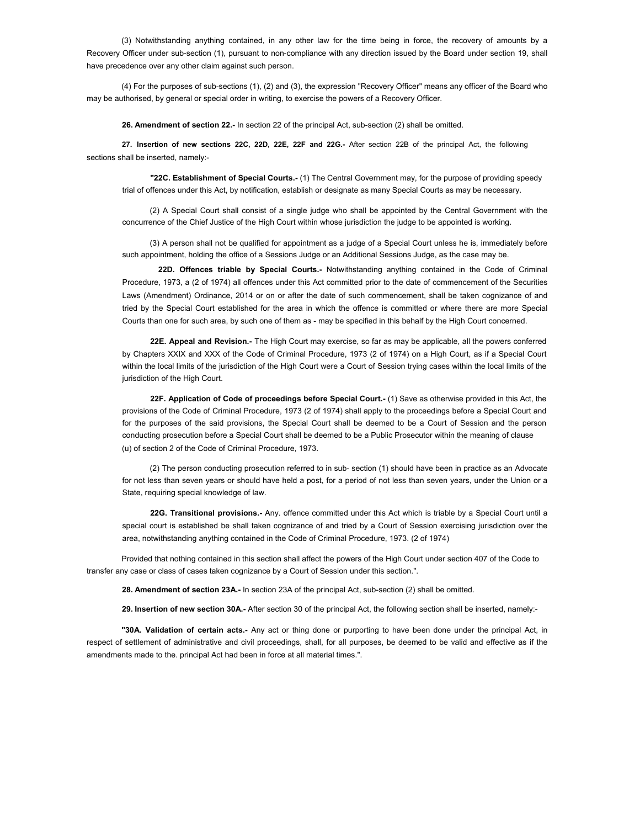(3) Notwithstanding anything contained, in any other law for the time being in force, the recovery of amounts by a Recovery Officer under sub-section (1), pursuant to non-compliance with any direction issued by the Board under section 19, shall have precedence over any other claim against such person.

(4) For the purposes of sub-sections (1), (2) and (3), the expression "Recovery Officer" means any officer of the Board who may be authorised, by general or special order in writing, to exercise the powers of a Recovery Officer.

**26. Amendment of section 22.-** In section 22 of the principal Act, sub-section (2) shall be omitted.

**27. Insertion of new sections 22C, 22D, 22E, 22F and 22G.-** After section 22B of the principal Act, the following sections shall be inserted, namely:-

**"22C. Establishment of Special Courts.-** (1) The Central Government may, for the purpose of providing speedy trial of offences under this Act, by notification, establish or designate as many Special Courts as may be necessary.

(2) A Special Court shall consist of a single judge who shall be appointed by the Central Government with the concurrence of the Chief Justice of the High Court within whose jurisdiction the judge to be appointed is working.

(3) A person shall not be qualified for appointment as a judge of a Special Court unless he is, immediately before such appointment, holding the office of a Sessions Judge or an Additional Sessions Judge, as the case may be.

**22D. Offences triable by Special Courts.-** Notwithstanding anything contained in the Code of Criminal Procedure, 1973, a (2 of 1974) all offences under this Act committed prior to the date of commencement of the Securities Laws (Amendment) Ordinance, 2014 or on or after the date of such commencement, shall be taken cognizance of and tried by the Special Court established for the area in which the offence is committed or where there are more Special Courts than one for such area, by such one of them as - may be specified in this behalf by the High Court concerned.

**22E. Appeal and Revision.-** The High Court may exercise, so far as may be applicable, all the powers conferred by Chapters XXIX and XXX of the Code of Criminal Procedure, 1973 (2 of 1974) on a High Court, as if a Special Court within the local limits of the jurisdiction of the High Court were a Court of Session trying cases within the local limits of the jurisdiction of the High Court.

**22F. Application of Code of proceedings before Special Court.-** (1) Save as otherwise provided in this Act, the provisions of the Code of Criminal Procedure, 1973 (2 of 1974) shall apply to the proceedings before a Special Court and for the purposes of the said provisions, the Special Court shall be deemed to be a Court of Session and the person conducting prosecution before a Special Court shall be deemed to be a Public Prosecutor within the meaning of clause (u) of section 2 of the Code of Criminal Procedure, 1973.

(2) The person conducting prosecution referred to in sub- section (1) should have been in practice as an Advocate for not less than seven years or should have held a post, for a period of not less than seven years, under the Union or a State, requiring special knowledge of law.

**22G. Transitional provisions.-** Any. offence committed under this Act which is triable by a Special Court until a special court is established be shall taken cognizance of and tried by a Court of Session exercising jurisdiction over the area, notwithstanding anything contained in the Code of Criminal Procedure, 1973. (2 of 1974)

Provided that nothing contained in this section shall affect the powers of the High Court under section 407 of the Code to transfer any case or class of cases taken cognizance by a Court of Session under this section.".

**28. Amendment of section 23A.-** In section 23A of the principal Act, sub-section (2) shall be omitted.

**29. Insertion of new section 30A.-** After section 30 of the principal Act, the following section shall be inserted, namely:-

**"30A. Validation of certain acts.-** Any act or thing done or purporting to have been done under the principal Act, in respect of settlement of administrative and civil proceedings, shall, for all purposes, be deemed to be valid and effective as if the amendments made to the. principal Act had been in force at all material times.".